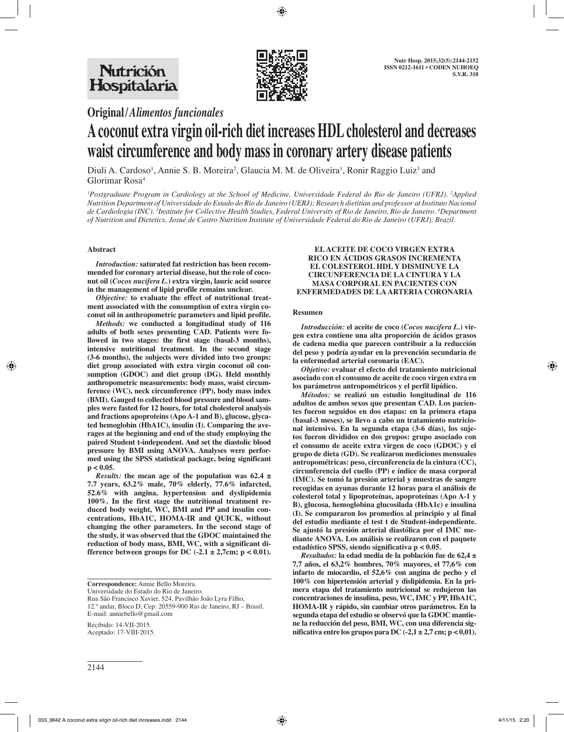

**Original/***Alimentos funcionales*

# **A coconut extra virgin oil-rich diet increases HDL cholesterol and decreases waist circumference and body mass in coronary artery disease patients**

Diuli A. Cardoso<sup>1</sup>, Annie S. B. Moreira<sup>2</sup>, Glaucia M. M. de Oliveira<sup>1</sup>, Ronir Raggio Luiz<sup>3</sup> and Glorimar Rosa4

*1 Postgraduate Program in Cardiology at the School of Medicine, Universidade Federal do Rio de Janeiro (UFRJ). 2 Applied Nutrition Department of Universidade do Estado do Rio de Janeiro (UERJ); Research dietitian and professor at Instituto Nacional de Cardiologia (INC). 3 Institute for Collective Health Studies, Federal University of Rio de Janeiro, Rio de Janeiro. 4 Department of Nutrition and Dietetics, Josué de Castro Nutrition Institute of Universidade Federal do Rio de Janeiro (UFRJ), Brazil.*

# **Abstract**

*Introduction:* **saturated fat restriction has been recommended for coronary arterial disease, but the role of coconut oil (***Cocos nucifera L.***) extra virgin, lauric acid source in the management of lipid profile remains unclear.** 

*Objective:* **to evaluate the effect of nutritional treatment associated with the consumption of extra virgin coconut oil in anthropometric parameters and lipid profile.** 

*Methods:* **we conducted a longitudinal study of 116 adults of both sexes presenting CAD. Patients were followed in two stages: the first stage (basal-3 months), intensive nutritional treatment. In the second stage (3-6 months), the subjects were divided into two groups: diet group associated with extra virgin coconut oil consumption (GDOC) and diet group (DG). Held monthly anthropometric measurements: body mass, waist circumference (WC), neck circumference (PP), body mass index (BMI). Gauged to collected blood pressure and blood samples were fasted for 12 hours, for total cholesterol analysis and fractions apoproteins (Apo A-1 and B), glucose, glycated hemoglobin (HbA1C), insulin (I). Comparing the averages at the beginning and end of the study employing the paired Student t-independent. And set the diastolic blood pressure by BMI using ANOVA. Analyses were performed using the SPSS statistical package, being significant p < 0.05.** 

*Results:* **the mean age of the population was 62.4 ± 7.7 years, 63.2% male, 70% elderly, 77.6% infarcted, 52.6% with angina, hypertension and dyslipidemia 100%. In the first stage the nutritional treatment reduced body weight, WC, BMI and PP and insulin concentrations, HbA1C, HOMA-IR and QUICK, without changing the other parameters. In the second stage of the study, it was observed that the GDOC maintained the reduction of body mass, BMI, WC, with a significant difference between groups for DC**  $(-2.1 \pm 2.7$ cm;  $p < 0.01$ ).

**Correspondence:** Annie Bello Moreira.

Universidade do Estado do Rio de Janeiro.

Rua São Francisco Xavier, 524, Pavilhão João Lyra Filho, 12.º andar, Bloco D, Cep: 20559-900 Rio de Janeiro, RJ – Brasil. E-mail: anniebello@gmail.com

Recibido: 14-VII-2015. Aceptado: 17-VIII-2015.

## **EL ACEITE DE COCO VIRGEN EXTRA RICO EN ÁCIDOS GRASOS INCREMENTA EL COLESTEROL HDL Y DISMINUYE LA CIRCUNFERENCIA DE LA CINTURA Y LA MASA CORPORAL EN PACIENTES CON ENFERMEDADES DE LA ARTERIA CORONARIA**

# **Resumen**

*Introducción:* **el aceite de coco (***Cocos nucifera L.***) virgen extra contiene una alta proporción de ácidos grasos de cadena media que parecen contribuir a la reducción del peso y podría ayudar en la prevención secundaria de la enfermedad arterial coronaria (EAC).** 

*Objetivo:* **evaluar el efecto del tratamiento nutricional asociado con el consumo de aceite de coco virgen extra en los parámetros antropométricos y el perfil lipídico.** 

*Métodos:* **se realizó un estudio longitudinal de 116 adultos de ambos sexos que presentan CAD. Los pacientes fueron seguidos en dos etapas: en la primera etapa (basal-3 meses), se llevo a cabo un tratamiento nutricional intensivo. En la segunda etapa (3-6 días), los sujetos fueron divididos en dos grupos: grupo asociado con el consumo de aceite extra virgen de coco (GDOC) y el grupo de dieta (GD). Se realizaron mediciones mensuales antropométricas: peso, circunferencia de la cintura (CC), circunferencia del cuello (PP) e índice de masa corporal (IMC). Se tomó la presión arterial y muestras de sangre recogidas en ayunas durante 12 horas para el análisis de colesterol total y lipoproteínas, apoproteínas (Apo A-1 y B), glucosa, hemoglobina glucosilada (HbA1c) e insulina (I). Se compararon los promedios al principio y al final del estudio mediante el test t de Student-independiente. Se ajustó la presión arterial diastólica por el IMC mediante ANOVA. Los análisis se realizaron con el paquete estadístico SPSS, siendo significativa p < 0.05.** 

*Resultados:* **la edad media de la población fue de 62,4 ± 7,7 años, el 63,2% hombres, 70% mayores, el 77,6% con infarto de miocardio, el 52,6% con angina de pecho y el 100% con hipertensión arterial y dislipidemia. En la primera etapa del tratamiento nutricional se redujeron las concentraciones de insulina, peso, WC, IMC y PP, HbA1C, HOMA-IR y rápido, sin cambiar otros parámetros. En la segunda etapa del estudio se observó que la GDOC mantiene la reducción del peso, BMI, WC, con una diferencia significativa entre los grupos para DC (-2,1 ± 2,7 cm; p < 0,01).**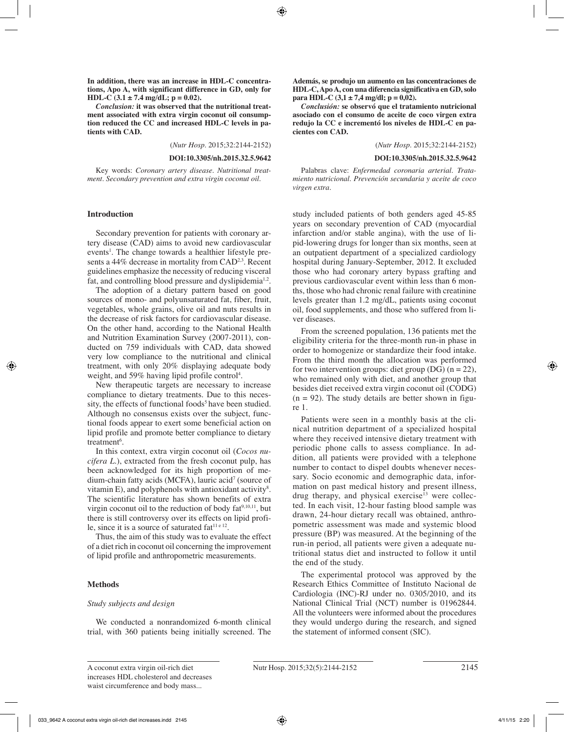**In addition, there was an increase in HDL-C concentrations, Apo A, with significant difference in GD, only for HDL-C**  $(3.1 \pm 7.4 \text{ mg/dL}; \text{p} = 0.02)$ .

*Conclusion:* **it was observed that the nutritional treatment associated with extra virgin coconut oil consumption reduced the CC and increased HDL-C levels in patients with CAD.**

(*Nutr Hosp.* 2015;32:2144-2152)

#### **DOI:10.3305/nh.2015.32.5.9642**

Key words: *Coronary artery disease. Nutritional treatment. Secondary prevention and extra virgin coconut oil.*

## **Introduction**

Secondary prevention for patients with coronary artery disease (CAD) aims to avoid new cardiovascular events<sup>1</sup>. The change towards a healthier lifestyle presents a 44% decrease in mortality from CAD<sup>2,3</sup>. Recent guidelines emphasize the necessity of reducing visceral fat, and controlling blood pressure and dyslipidemia<sup>1,2</sup>.

The adoption of a dietary pattern based on good sources of mono- and polyunsaturated fat, fiber, fruit, vegetables, whole grains, olive oil and nuts results in the decrease of risk factors for cardiovascular disease. On the other hand, according to the National Health and Nutrition Examination Survey (2007-2011), conducted on 759 individuals with CAD, data showed very low compliance to the nutritional and clinical treatment, with only 20% displaying adequate body weight, and 59% having lipid profile control<sup>4</sup>.

New therapeutic targets are necessary to increase compliance to dietary treatments. Due to this necessity, the effects of functional foods<sup>5</sup> have been studied. Although no consensus exists over the subject, functional foods appear to exert some beneficial action on lipid profile and promote better compliance to dietary treatment<sup>6</sup>.

In this context, extra virgin coconut oil (*Cocos nucifera L*.), extracted from the fresh coconut pulp, has been acknowledged for its high proportion of medium-chain fatty acids (MCFA), lauric acid7 (source of vitamin E), and polyphenols with antioxidant activity<sup>8</sup>. The scientific literature has shown benefits of extra virgin coconut oil to the reduction of body  $fat^{9,10,11}$ , but there is still controversy over its effects on lipid profile, since it is a source of saturated fat $11 e 12$ .

Thus, the aim of this study was to evaluate the effect of a diet rich in coconut oil concerning the improvement of lipid profile and anthropometric measurements.

## **Methods**

## *Study subjects and design*

We conducted a nonrandomized 6-month clinical trial, with 360 patients being initially screened. The **Además, se produjo un aumento en las concentraciones de HDL-C, Apo A, con una diferencia significativa en GD, solo para HDL-C (3,1**  $\pm$  **7,4 mg/dl; p = 0,02).** 

*Conclusión:* **se observó que el tratamiento nutricional asociado con el consumo de aceite de coco virgen extra redujo la CC e incrementó los niveles de HDL-C en pacientes con CAD.**

(*Nutr Hosp.* 2015;32:2144-2152)

#### **DOI:10.3305/nh.2015.32.5.9642**

Palabras clave: *Enfermedad coronaria arterial. Tratamiento nutricional. Prevención secundaria y aceite de coco virgen extra.*

study included patients of both genders aged 45-85 years on secondary prevention of CAD (myocardial infarction and/or stable angina), with the use of lipid-lowering drugs for longer than six months, seen at an outpatient department of a specialized cardiology hospital during January-September, 2012. It excluded those who had coronary artery bypass grafting and previous cardiovascular event within less than 6 months, those who had chronic renal failure with creatinine levels greater than 1.2 mg/dL, patients using coconut oil, food supplements, and those who suffered from liver diseases.

From the screened population, 136 patients met the eligibility criteria for the three-month run-in phase in order to homogenize or standardize their food intake. From the third month the allocation was performed for two intervention groups: diet group (DG)  $(n = 22)$ , who remained only with diet, and another group that besides diet received extra virgin coconut oil (CODG)  $(n = 92)$ . The study details are better shown in figure 1.

Patients were seen in a monthly basis at the clinical nutrition department of a specialized hospital where they received intensive dietary treatment with periodic phone calls to assess compliance. In addition, all patients were provided with a telephone number to contact to dispel doubts whenever necessary. Socio economic and demographic data, information on past medical history and present illness, drug therapy, and physical exercise<sup>13</sup> were collected. In each visit, 12-hour fasting blood sample was drawn, 24-hour dietary recall was obtained, anthropometric assessment was made and systemic blood pressure (BP) was measured. At the beginning of the run-in period, all patients were given a adequate nutritional status diet and instructed to follow it until the end of the study.

The experimental protocol was approved by the Research Ethics Committee of Instituto Nacional de Cardiologia (INC)-RJ under no. 0305/2010, and its National Clinical Trial (NCT) number is 01962844. All the volunteers were informed about the procedures they would undergo during the research, and signed the statement of informed consent (SIC).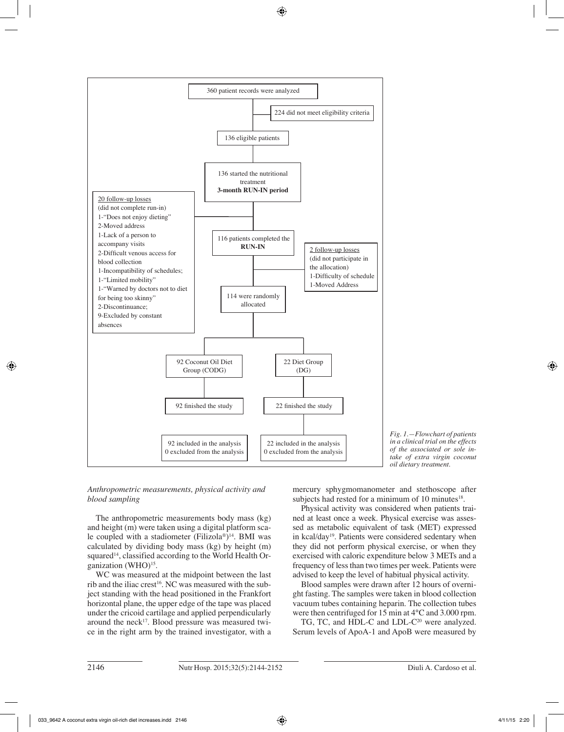

*Fig. 1.—Flowchart of patients in a clinical trial on the effects of the associated or sole intake of extra virgin coconut oil dietary treatment.*

*Anthropometric measurements, physical activity and blood sampling* 

The anthropometric measurements body mass (kg) and height (m) were taken using a digital platform scale coupled with a stadiometer (Filizola®)<sup>14</sup>. BMI was calculated by dividing body mass (kg) by height (m) squared<sup>14</sup>, classified according to the World Health Organization (WHO)<sup>15</sup>.

WC was measured at the midpoint between the last rib and the iliac crest<sup>16</sup>. NC was measured with the subject standing with the head positioned in the Frankfort horizontal plane, the upper edge of the tape was placed under the cricoid cartilage and applied perpendicularly around the neck<sup>17</sup>. Blood pressure was measured twice in the right arm by the trained investigator, with a mercury sphygmomanometer and stethoscope after subjects had rested for a minimum of 10 minutes $18$ .

Physical activity was considered when patients trained at least once a week. Physical exercise was assessed as metabolic equivalent of task (MET) expressed in kcal/day19. Patients were considered sedentary when they did not perform physical exercise, or when they exercised with caloric expenditure below 3 METs and a frequency of less than two times per week. Patients were advised to keep the level of habitual physical activity.

Blood samples were drawn after 12 hours of overnight fasting. The samples were taken in blood collection vacuum tubes containing heparin. The collection tubes were then centrifuged for 15 min at 4°C and 3.000 rpm.

TG, TC, and HDL-C and LDL-C<sup>20</sup> were analyzed. Serum levels of ApoA-1 and ApoB were measured by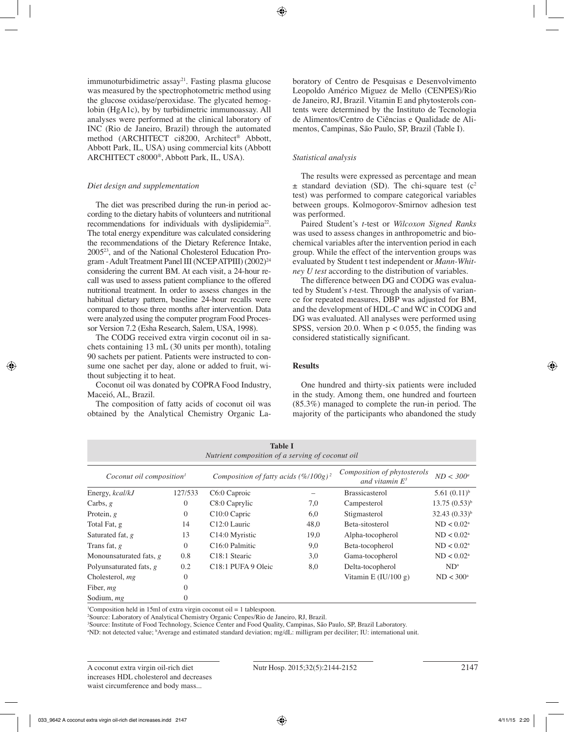immunoturbidimetric assay<sup>21</sup>. Fasting plasma glucose was measured by the spectrophotometric method using the glucose oxidase/peroxidase. The glycated hemoglobin (HgA1c), by by turbidimetric immunoassay. All analyses were performed at the clinical laboratory of INC (Rio de Janeiro, Brazil) through the automated method (ARCHITECT ci8200, Architect® Abbott, Abbott Park, IL, USA) using commercial kits (Abbott ARCHITECT c8000®, Abbott Park, IL, USA).

# *Diet design and supplementation*

The diet was prescribed during the run-in period according to the dietary habits of volunteers and nutritional recommendations for individuals with dyslipidemia<sup>22</sup>. The total energy expenditure was calculated considering the recommendations of the Dietary Reference Intake, 200523, and of the National Cholesterol Education Program - Adult Treatment Panel III (NCEP ATPIII) (2002)<sup>24</sup> considering the current BM. At each visit, a 24-hour recall was used to assess patient compliance to the offered nutritional treatment. In order to assess changes in the habitual dietary pattern, baseline 24-hour recalls were compared to those three months after intervention. Data were analyzed using the computer program Food Processor Version 7.2 (Esha Research, Salem, USA, 1998).

The CODG received extra virgin coconut oil in sachets containing 13 mL (30 units per month), totaling 90 sachets per patient. Patients were instructed to consume one sachet per day, alone or added to fruit, without subjecting it to heat.

Coconut oil was donated by COPRA Food Industry, Maceió, AL, Brazil.

The composition of fatty acids of coconut oil was obtained by the Analytical Chemistry Organic Laboratory of Centro de Pesquisas e Desenvolvimento Leopoldo Américo Miguez de Mello (CENPES)/Rio de Janeiro, RJ, Brazil. Vitamin E and phytosterols contents were determined by the Instituto de Tecnologia de Alimentos/Centro de Ciências e Qualidade de Alimentos, Campinas, São Paulo, SP, Brazil (Table I).

# *Statistical analysis*

The results were expressed as percentage and mean  $\pm$  standard deviation (SD). The chi-square test (c<sup>2</sup> test) was performed to compare categorical variables between groups. Kolmogorov-Smirnov adhesion test was performed.

Paired Student's *t*-test or *Wilcoxon Signed Ranks* was used to assess changes in anthropometric and biochemical variables after the intervention period in each group. While the effect of the intervention groups was evaluated by Student t test independent or *Mann-Whitney U test* according to the distribution of variables.

The difference between DG and CODG was evaluated by Student's *t*-test. Through the analysis of variance for repeated measures, DBP was adjusted for BM, and the development of HDL-C and WC in CODG and DG was evaluated. All analyses were performed using SPSS, version 20.0. When  $p < 0.055$ , the finding was considered statistically significant.

# **Results**

One hundred and thirty-six patients were included in the study. Among them, one hundred and fourteen (85.3%) managed to complete the run-in period. The majority of the participants who abandoned the study

| <b>Table I</b><br>Nutrient composition of a serving of coconut oil |                |                                                  |      |                                                  |                   |  |  |  |
|--------------------------------------------------------------------|----------------|--------------------------------------------------|------|--------------------------------------------------|-------------------|--|--|--|
| Coconut oil composition <sup>1</sup>                               |                | Composition of fatty acids $(\frac{\%}{100g})^2$ |      | Composition of phytosterols<br>and vitamin $E^3$ | $ND < 300^a$      |  |  |  |
| Energy, kcal/kJ                                                    | 127/533        | C6:0 Caproic                                     |      | <b>Brassicasterol</b>                            | $5.61(0.11)^{b}$  |  |  |  |
| Carbs, $g$                                                         | $\overline{0}$ | C8:0 Caprylic                                    | 7,0  | Campesterol                                      | $13.75(0.53)^{b}$ |  |  |  |
| Protein, $g$                                                       | $\Omega$       | C <sub>10:0</sub> Capric                         | 6,0  | Stigmasterol                                     | $32.43(0.33)^{b}$ |  |  |  |
| Total Fat, g                                                       | 14             | $C12:0$ Lauric                                   | 48,0 | Beta-sitosterol                                  | $ND < 0.02^a$     |  |  |  |
| Saturated fat, g                                                   | 13             | C <sub>14</sub> :0 Myristic                      | 19,0 | Alpha-tocopherol                                 | $ND < 0.02^a$     |  |  |  |
| Trans fat, g                                                       | $\Omega$       | C <sub>16:0</sub> Palmitic                       | 9,0  | Beta-tocopherol                                  | $ND < 0.02^a$     |  |  |  |
| Monounsaturated fats, g                                            | 0.8            | C <sub>18:1</sub> Stearic                        | 3,0  | Gama-tocopherol                                  | $ND < 0.02^a$     |  |  |  |
| Polyunsaturated fats, $g$                                          | 0.2            | C <sub>18:1</sub> PUFA 9 Oleic                   | 8,0  | Delta-tocopherol                                 | $ND^a$            |  |  |  |
| Cholesterol, $mg$                                                  | $\overline{0}$ |                                                  |      | Vitamin E $(IU/100 g)$                           | $ND < 300^a$      |  |  |  |
| Fiber, mg                                                          | $\theta$       |                                                  |      |                                                  |                   |  |  |  |
| Sodium, mg                                                         | $\Omega$       |                                                  |      |                                                  |                   |  |  |  |

<sup>1</sup>Composition held in 15ml of extra virgin coconut oil = 1 tablespoon.

2 Source: Laboratory of Analytical Chemistry Organic Cenpes/Rio de Janeiro, RJ, Brazil.

3 Source: Institute of Food Technology, Science Center and Food Quality, Campinas, São Paulo, SP, Brazil Laboratory.

a ND: not detected value; b Average and estimated standard deviation; mg/dL: milligram per deciliter; IU: international unit.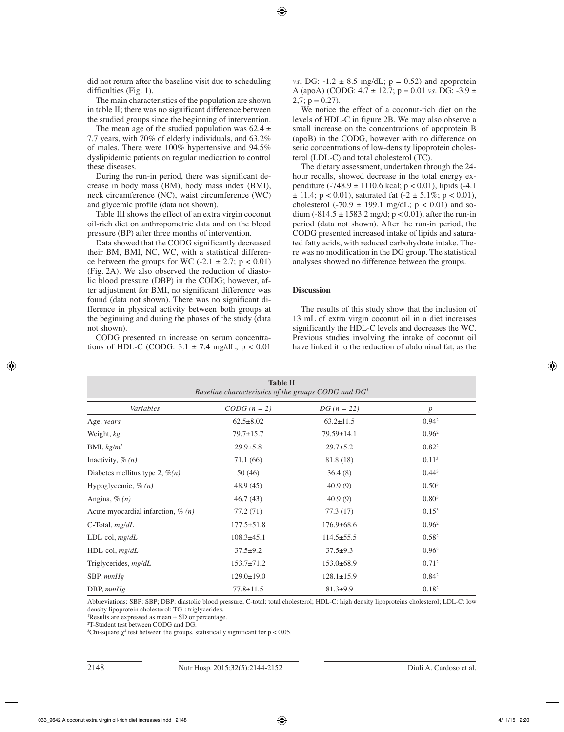did not return after the baseline visit due to scheduling difficulties (Fig. 1).

The main characteristics of the population are shown in table II; there was no significant difference between the studied groups since the beginning of intervention.

The mean age of the studied population was  $62.4 \pm$ 7.7 years, with 70% of elderly individuals, and 63.2% of males. There were 100% hypertensive and 94.5% dyslipidemic patients on regular medication to control these diseases.

During the run-in period, there was significant decrease in body mass (BM), body mass index (BMI), neck circumference (NC), waist circumference (WC) and glycemic profile (data not shown).

Table III shows the effect of an extra virgin coconut oil-rich diet on anthropometric data and on the blood pressure (BP) after three months of intervention.

Data showed that the CODG significantly decreased their BM, BMI, NC, WC, with a statistical difference between the groups for WC  $(-2.1 \pm 2.7; p < 0.01)$ (Fig. 2A). We also observed the reduction of diastolic blood pressure (DBP) in the CODG; however, after adjustment for BMI, no significant difference was found (data not shown). There was no significant difference in physical activity between both groups at the beginning and during the phases of the study (data not shown).

CODG presented an increase on serum concentrations of HDL-C (CODG:  $3.1 \pm 7.4$  mg/dL:  $p < 0.01$ 

*vs.* DG:  $-1.2 \pm 8.5$  mg/dL;  $p = 0.52$ ) and apoprotein A (apoA) (CODG: 4.7 ± 12.7; p = 0.01 *vs.* DG: -3.9 ±  $2,7$ ;  $p = 0.27$ ).

We notice the effect of a coconut-rich diet on the levels of HDL-C in figure 2B. We may also observe a small increase on the concentrations of apoprotein B (apoB) in the CODG, however with no difference on seric concentrations of low-density lipoprotein cholesterol (LDL-C) and total cholesterol (TC).

The dietary assessment, undertaken through the 24 hour recalls, showed decrease in the total energy expenditure  $(-748.9 \pm 1110.6 \text{ kcal}; p < 0.01)$ , lipids  $(-4.1)$  $\pm$  11.4; p < 0.01), saturated fat (-2  $\pm$  5.1%; p < 0.01), cholesterol (-70.9  $\pm$  199.1 mg/dL; p < 0.01) and sodium (-814.5  $\pm$  1583.2 mg/d; p < 0.01), after the run-in period (data not shown). After the run-in period, the CODG presented increased intake of lipids and saturated fatty acids, with reduced carbohydrate intake. There was no modification in the DG group. The statistical analyses showed no difference between the groups.

## **Discussion**

The results of this study show that the inclusion of 13 mL of extra virgin coconut oil in a diet increases significantly the HDL-C levels and decreases the WC. Previous studies involving the intake of coconut oil have linked it to the reduction of abdominal fat, as the

| <b>Table II</b><br>Baseline characteristics of the groups CODG and $DG1$ |                  |                  |                   |  |  |  |  |
|--------------------------------------------------------------------------|------------------|------------------|-------------------|--|--|--|--|
| Variables<br>$CODG (n = 2)$<br>$DG (n = 22)$<br>p                        |                  |                  |                   |  |  |  |  |
| Age, years                                                               | $62.5 \pm 8.02$  | $63.2 \pm 11.5$  | $0.94^2$          |  |  |  |  |
| Weight, kg                                                               | $79.7 \pm 15.7$  | $79.59 \pm 14.1$ | $0.96^2$          |  |  |  |  |
| BMI, $kg/m^2$                                                            | $29.9 \pm 5.8$   | $29.7 \pm 5.2$   | 0.82 <sup>2</sup> |  |  |  |  |
| Inactivity, $\%$ ( <i>n</i> )                                            | 71.1 (66)        | 81.8 (18)        | 0.11 <sup>3</sup> |  |  |  |  |
| Diabetes mellitus type 2, $\mathcal{P}(n)$                               | 50(46)           | 36.4(8)          | $0.44^{3}$        |  |  |  |  |
| Hypoglycemic, $\%$ (n)                                                   | 48.9(45)         | 40.9(9)          | $0.50^{3}$        |  |  |  |  |
| Angina, $\%$ (n)                                                         | 46.7(43)         | 40.9(9)          | $0.80^{3}$        |  |  |  |  |
| Acute myocardial infarction, $\%$ (n)                                    | 77.2 (71)        | 77.3(17)         | $0.15^3$          |  |  |  |  |
| C-Total, $mg/dL$                                                         | $177.5 \pm 51.8$ | $176.9 \pm 68.6$ | $0.96^2$          |  |  |  |  |
| $LDL$ -col, $mg/dL$                                                      | $108.3 \pm 45.1$ | $114.5 \pm 55.5$ | 0.58 <sup>2</sup> |  |  |  |  |
| HDL-col, mg/dL                                                           | $37.5+9.2$       | $37.5+9.3$       | $0.96^2$          |  |  |  |  |
| Triglycerides, mg/dL                                                     | $153.7 \pm 71.2$ | $153.0\pm 68.9$  | 0.71 <sup>2</sup> |  |  |  |  |
| $SBP, \text{mmHg}$                                                       | $129.0 \pm 19.0$ | $128.1 \pm 15.9$ | $0.84^2$          |  |  |  |  |
| DBP, $mmHg$                                                              | $77.8 \pm 11.5$  | $81.3+9.9$       | 0.18 <sup>2</sup> |  |  |  |  |

Abbreviations: SBP: SBP; DBP: diastolic blood pressure; C-total: total cholesterol; HDL-C: high density lipoproteins cholesterol; LDL-C: low density lipoprotein cholesterol; TG-: triglycerides.

Results are expressed as mean  $\pm$  SD or percentage.

2 T-Student test between CODG and DG.

<sup>3</sup>Chi-square  $\chi^2$  test between the groups, statistically significant for  $p < 0.05$ .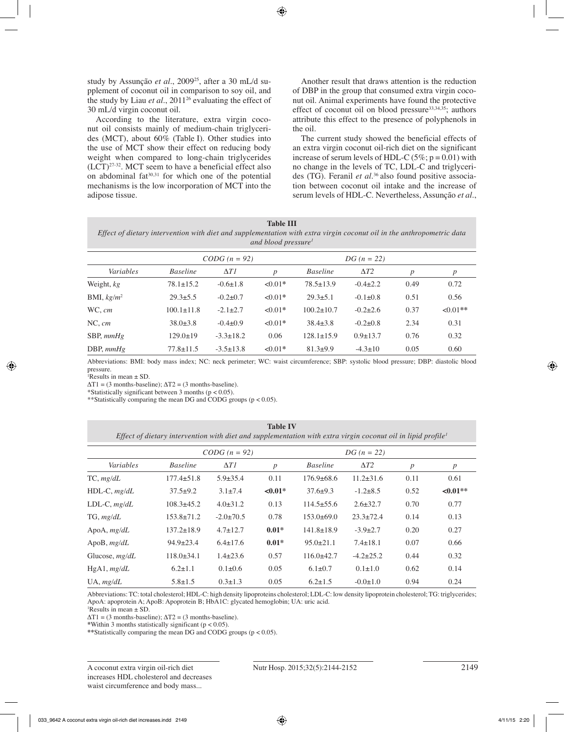study by Assunção et al., 2009<sup>25</sup>, after a 30 mL/d supplement of coconut oil in comparison to soy oil, and the study by Liau et al., 2011<sup>26</sup> evaluating the effect of 30 mL/d virgin coconut oil.

According to the literature, extra virgin coconut oil consists mainly of medium-chain triglycerides (MCT), about 60% (Table I). Other studies into the use of MCT show their effect on reducing body weight when compared to long-chain triglycerides  $(LCT)^{27-32}$ . MCT seem to have a beneficial effect also on abdominal  $fat^{30,31}$  for which one of the potential mechanisms is the low incorporation of MCT into the adipose tissue.

Another result that draws attention is the reduction of DBP in the group that consumed extra virgin coconut oil. Animal experiments have found the protective effect of coconut oil on blood pressure $33,34,35$ ; authors attribute this effect to the presence of polyphenols in the oil.

The current study showed the beneficial effects of an extra virgin coconut oil-rich diet on the significant increase of serum levels of HDL-C ( $5\%$ ;  $p = 0.01$ ) with no change in the levels of TC, LDL-C and triglycerides (TG). Feranil *et al.*36 also found positive association between coconut oil intake and the increase of serum levels of HDL-C. Nevertheless, Assunção *et al.*,

| <b>Table III</b>                                                                                                      |
|-----------------------------------------------------------------------------------------------------------------------|
| Effect of dietary intervention with diet and supplementation with extra virgin coconut oil in the anthropometric data |
| and blood pressure <sup>1</sup>                                                                                       |

|                    | $CODG (n = 92)$  |                 |                  | $DG (n = 22)$    |                |                  |                  |
|--------------------|------------------|-----------------|------------------|------------------|----------------|------------------|------------------|
| Variables          | <b>Baseline</b>  | $\Delta T I$    | $\boldsymbol{p}$ | <b>Baseline</b>  | $\Delta T2$    | $\boldsymbol{p}$ | $\boldsymbol{p}$ |
| Weight, kg         | $78.1 \pm 15.2$  | $-0.6 \pm 1.8$  | $\leq 0.01*$     | $78.5 \pm 13.9$  | $-0.4 \pm 2.2$ | 0.49             | 0.72             |
| BMI, $kg/m^2$      | $29.3 \pm 5.5$   | $-0.2\pm 0.7$   | $\leq 0.01*$     | $29.3 \pm 5.1$   | $-0.1 \pm 0.8$ | 0.51             | 0.56             |
| WC, cm             | $100.1 \pm 11.8$ | $-2.1 \pm 2.7$  | $\leq 0.01*$     | $100.2 \pm 10.7$ | $-0.2\pm2.6$   | 0.37             | $<0.01**$        |
| NC, cm             | $38.0 \pm 3.8$   | $-0.4\pm0.9$    | $\leq 0.01*$     | $38.4 \pm 3.8$   | $-0.2\pm0.8$   | 2.34             | 0.31             |
| $SBP, \text{mmHg}$ | $129.0 \pm 19$   | $-3.3 \pm 18.2$ | 0.06             | $128.1 \pm 15.9$ | $0.9 \pm 13.7$ | 0.76             | 0.32             |
| DBP, $mmHg$        | $77.8 \pm 11.5$  | $-3.5 \pm 13.8$ | $<0.01*$         | $81.3+9.9$       | $-4.3 \pm 10$  | 0.05             | 0.60             |

Abbreviations: BMI: body mass index; NC: neck perimeter; WC: waist circumference; SBP: systolic blood pressure; DBP: diastolic blood pressure.

<sup>1</sup>Results in mean  $\pm$  SD.

 $\Delta T1 = (3$  months-baseline);  $\Delta T2 = (3$  months-baseline).

\*Statistically significant between 3 months ( $p < 0.05$ ).

\*\*Statistically comparing the mean DG and CODG groups (p < 0.05).

| <b>Table IV</b>                                                                                                          |
|--------------------------------------------------------------------------------------------------------------------------|
| Effect of dietary intervention with diet and supplementation with extra virgin coconut oil in lipid profile <sup>1</sup> |

| Variables        |                  | $CODG (n = 92)$ |              |                  | $DG (n = 22)$   |                  |                  |
|------------------|------------------|-----------------|--------------|------------------|-----------------|------------------|------------------|
|                  | <b>Baseline</b>  | $\Delta T I$    | p            | <b>Baseline</b>  | $\Delta T2$     | $\boldsymbol{p}$ | $\boldsymbol{p}$ |
| TC, mg/dL        | $177.4 \pm 51.8$ | $5.9 \pm 35.4$  | 0.11         | $176.9 \pm 68.6$ | $11.2 \pm 31.6$ | 0.11             | 0.61             |
| $HDL-C, mg/dL$   | $37.5+9.2$       | $3.1 \pm 7.4$   | $\leq 0.01*$ | $37.6 \pm 9.3$   | $-1.2 + 8.5$    | 0.52             | $\leq 0.01**$    |
| $LDL-C, mg/dL$   | $108.3 \pm 45.2$ | $4.0 \pm 31.2$  | 0.13         | $114.5 \pm 55.6$ | $2.6 \pm 32.7$  | 0.70             | 0.77             |
| $TG$ , $mg/dL$   | $153.8 \pm 71.2$ | $-2.0 \pm 70.5$ | 0.78         | $153.0\pm 69.0$  | $23.3 \pm 72.4$ | 0.14             | 0.13             |
| ApoA, $mg/dL$    | $137.2 \pm 18.9$ | $4.7 \pm 12.7$  | $0.01*$      | $141.8 \pm 18.9$ | $-3.9 \pm 2.7$  | 0.20             | 0.27             |
| ApoB, $mg/dL$    | $94.9 \pm 23.4$  | $6.4 \pm 17.6$  | $0.01*$      | $95.0 \pm 21.1$  | $7.4 \pm 18.1$  | 0.07             | 0.66             |
| Glucose, $mg/dL$ | $118.0 \pm 34.1$ | $1.4\pm 23.6$   | 0.57         | $116.0\pm42.7$   | $-4.2 \pm 25.2$ | 0.44             | 0.32             |
| $HgA1$ , $mg/dL$ | $6.2 \pm 1.1$    | $0.1 \pm 0.6$   | 0.05         | $6.1 \pm 0.7$    | $0.1 \pm 1.0$   | 0.62             | 0.14             |
| $UA$ , $mg/dL$   | $5.8 \pm 1.5$    | $0.3 \pm 1.3$   | 0.05         | $6.2 \pm 1.5$    | $-0.0 \pm 1.0$  | 0.94             | 0.24             |

Abbreviations: TC: total cholesterol; HDL-C: high density lipoproteins cholesterol; LDL-C: low density lipoprotein cholesterol; TG: triglycerides; ApoA: apoprotein A; ApoB: Apoprotein B; HbA1C: glycated hemoglobin; UA: uric acid.

<sup>1</sup>Results in mean  $\pm$  SD.

 $\Delta T1 = (3$  months-baseline);  $\Delta T2 = (3$  months-baseline).

**\***Within 3 months statistically significant (p < 0.05).

**\*\***Statistically comparing the mean DG and CODG groups (p < 0.05).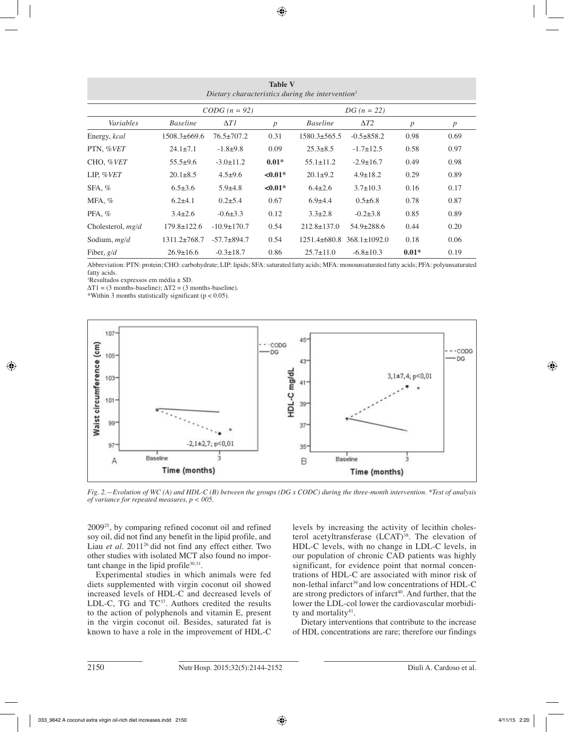| <b>Table V</b><br>Dietary characteristics during the intervention <sup>1</sup> |                                  |                   |                  |                    |                    |                  |                  |  |
|--------------------------------------------------------------------------------|----------------------------------|-------------------|------------------|--------------------|--------------------|------------------|------------------|--|
|                                                                                | $CODG (n = 92)$<br>$DG (n = 22)$ |                   |                  |                    |                    |                  |                  |  |
| Variables                                                                      | <b>Baseline</b>                  | $\Delta T I$      | $\boldsymbol{p}$ | <b>Baseline</b>    | $\Delta T2$        | $\boldsymbol{p}$ | $\boldsymbol{p}$ |  |
| Energy, kcal                                                                   | $1508.3 \pm 669.6$               | $76.5 \pm 707.2$  | 0.31             | $1580.3 \pm 565.5$ | $-0.5 \pm 858.2$   | 0.98             | 0.69             |  |
| PTN, %VET                                                                      | $24.1 \pm 7.1$                   | $-1.8+9.8$        | 0.09             | $25.3 \pm 8.5$     | $-1.7 \pm 12.5$    | 0.58             | 0.97             |  |
| CHO, %VET                                                                      | $55.5+9.6$                       | $-3.0 \pm 11.2$   | $0.01*$          | $55.1 \pm 11.2$    | $-2.9 \pm 16.7$    | 0.49             | 0.98             |  |
| LIP, $\%VET$                                                                   | $20.1 \pm 8.5$                   | $4.5 \pm 9.6$     | ${<}0.01*$       | $20.1 \pm 9.2$     | $4.9 \pm 18.2$     | 0.29             | 0.89             |  |
| $SFA, \%$                                                                      | $6.5 \pm 3.6$                    | $5.9 \pm 4.8$     | $< 0.01*$        | $6.4 \pm 2.6$      | $3.7 \pm 10.3$     | 0.16             | 0.17             |  |
| MFA, $%$                                                                       | $6.2\pm4.1$                      | $0.2\pm5.4$       | 0.67             | $6.9{\pm}4.4$      | $0.5 \pm 6.8$      | 0.78             | 0.87             |  |
| $PFA, \%$                                                                      | $3.4 \pm 2.6$                    | $-0.6 \pm 3.3$    | 0.12             | $3.3 \pm 2.8$      | $-0.2 \pm 3.8$     | 0.85             | 0.89             |  |
| Cholesterol, $mg/d$                                                            | $179.8 \pm 122.6$                | $-10.9 \pm 170.7$ | 0.54             | $212.8 \pm 137.0$  | $54.9 \pm 288.6$   | 0.44             | 0.20             |  |
| Sodium, $mg/d$                                                                 | $1311.2\pm 768.7$                | $-57.7 \pm 894.7$ | 0.54             | $1251.4\pm 680.8$  | $368.1 \pm 1092.0$ | 0.18             | 0.06             |  |
| Fiber, $g/d$                                                                   | $26.9 \pm 16.6$                  | $-0.3 \pm 18.7$   | 0.86             | $25.7 \pm 11.0$    | $-6.8 \pm 10.3$    | $0.01*$          | 0.19             |  |

Abbreviation: PTN: protein; CHO: carbohydrate; LIP: lipids; SFA: saturated fatty acids; MFA: monounsaturated fatty acids; PFA: polyunsaturated fatty acids.

1 Resultados expressos em média ± SD.

 $\Delta T1 = (3$  months-baseline);  $\Delta T2 = (3$  months-baseline).

\*Within 3 months statistically significant ( $p < 0.05$ ).



*Fig. 2.—Evolution of WC (A) and HDL-C (B) between the groups (DG x CODC) during the three-month intervention. \*Test of analysis of variance for repeated measures, p < 005.*

200925, by comparing refined coconut oil and refined soy oil, did not find any benefit in the lipid profile, and Liau *et al.* 2011<sup>26</sup> did not find any effect either. Two other studies with isolated MCT also found no important change in the lipid profile $30,31$ .

Experimental studies in which animals were fed diets supplemented with virgin coconut oil showed increased levels of HDL-C and decreased levels of LDL-C, TG and  $TC^{37}$ . Authors credited the results to the action of polyphenols and vitamin E, present in the virgin coconut oil. Besides, saturated fat is known to have a role in the improvement of HDL-C levels by increasing the activity of lecithin cholesterol acetyltransferase  $(LCAT)^{38}$ . The elevation of HDL-C levels, with no change in LDL-C levels, in our population of chronic CAD patients was highly significant, for evidence point that normal concentrations of HDL-C are associated with minor risk of non-lethal infarct<sup>39</sup> and low concentrations of  $HDL-C$ are strong predictors of infarct<sup>40</sup>. And further, that the lower the LDL-col lower the cardiovascular morbidity and mortality<sup>41</sup>.

Dietary interventions that contribute to the increase of HDL concentrations are rare; therefore our findings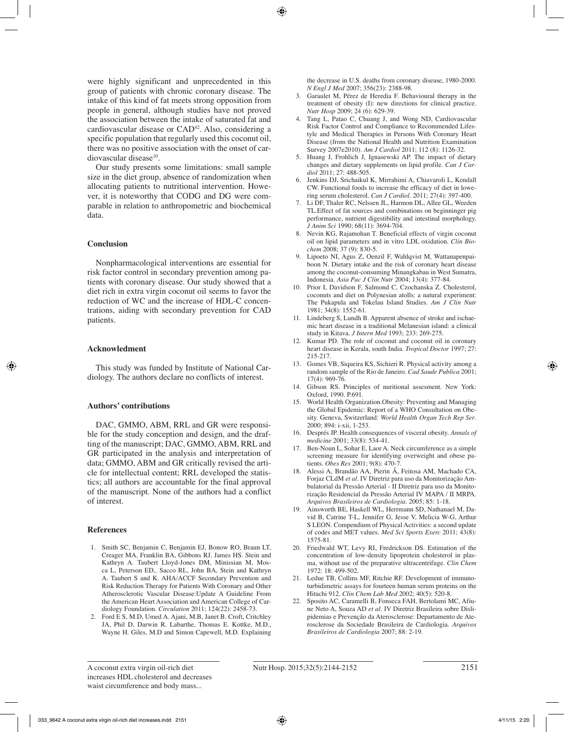were highly significant and unprecedented in this group of patients with chronic coronary disease. The intake of this kind of fat meets strong opposition from people in general, although studies have not proved the association between the intake of saturated fat and cardiovascular disease or CAD42. Also, considering a specific population that regularly used this coconut oil, there was no positive association with the onset of cardiovascular disease<sup>10</sup>.

Our study presents some limitations: small sample size in the diet group, absence of randomization when allocating patients to nutritional intervention. However, it is noteworthy that CODG and DG were comparable in relation to anthropometric and biochemical data.

# **Conclusion**

Nonpharmacological interventions are essential for risk factor control in secondary prevention among patients with coronary disease. Our study showed that a diet rich in extra virgin coconut oil seems to favor the reduction of WC and the increase of HDL-C concentrations, aiding with secondary prevention for CAD patients.

## **Acknowledment**

This study was funded by Institute of National Cardiology. The authors declare no conflicts of interest.

## **Authors' contributions**

DAC, GMMO, ABM, RRL and GR were responsible for the study conception and design, and the drafting of the manuscript; DAC, GMMO, ABM, RRL and GR participated in the analysis and interpretation of data; GMMO, ABM and GR critically revised the article for intellectual content; RRL developed the statistics; all authors are accountable for the final approval of the manuscript. None of the authors had a conflict of interest.

#### **References**

- 1. Smith SC, Benjamin C, Benjamin EJ, Bonow RO, Braun LT, Creager MA, Franklin BA, Gibbons RJ, James HS. Stein and Kathryn A. Taubert Lloyd-Jones DM, Minissian M, Mosca L, Peterson ED,. Sacco RL, John BA, Stein and Kathryn A. Taubert S and K. AHA/ACCF Secondary Prevention and Risk Reduction Therapy for Patients With Coronary and Other Atherosclerotic Vascular Disease:Update A Guideline From the American Heart Association and American College of Cardiology Foundation. *Circulation* 2011; 124(22): 2458-73.
- 2. Ford E S, M.D, Umed A. Ajani, M.B, Janet B. Croft, Critchley JA, Phil D, Darwin R. Labarthe, Thomas E. Kottke, M.D., Wayne H. Giles, M.D and Simon Capewell, M.D. Explaining

the decrease in U.S. deaths from coronary disease, 1980-2000. *N Engl J Med* 2007; 356(23): 2388-98.

- 3. Garaulet M, Pérez de Heredia F. Behavioural therapy in the treatment of obesity (I): new directions for clinical practice. *Nutr Hosp* 2009; 24 (6): 629-39.
- 4. Tang L, Patao C, Chuang J, and Wong ND, Cardiovascular Risk Factor Control and Compliance to Recommended Lifestyle and Medical Therapies in Persons With Coronary Heart Disease (from the National Health and Nutrition Examination Survey 2007e2010). *Am J Cardiol* 2011; 112 (8): 1126-32.
- 5. Huang J, Frohlich J, Ignasewski AP. The impact of dietary changes and dietary supplements on lipid profile. *Can J Cardiol* 2011; 27: 488-505.
- 6. Jenkins DJ, Srichaikul K, Mirrahimi A, Chiavaroli L, Kendall CW. Functional foods to increase the efficacy of diet in lowering serum cholesterol. *Can J Cardiol.* 2011; 27(4): 397-400.
- 7. Li DF, Thaler RC, Nelssen JL, Harmon DL, Allee GL, Weeden TL.Effect of fat sources and combinations on beginninger pig performance, nutrient digestibility and intestinal morphology. *J Anim Sci* 1990; 68(11): 3694-704.
- 8. Nevin KG, Rajamohan T. Beneficial effects of virgin coconut oil on lipid parameters and in vitro LDL oxidation. *Clin Biochem* 2008; 37 (9): 830-5.
- 9. Lipoeto NI, Agus Z, Oenzil F, Wahlqvist M, Wattanapenpaiboon N. Dietary intake and the risk of coronary heart disease among the coconut-consuming Minangkabau in West Sumatra, Indonesia. *Asia Pac J Clin Nutr* 2004; 13(4): 377-84.
- 10. Prior I, Davidson F, Salmond C, Czochanska Z. Cholesterol, coconuts and diet on Polynesian atolls: a natural experiment: The Pukapula and Tokelau Island Studies. *Am J Clin Nutr* 1981; 34(8): 1552-61.
- 11. Lindeberg S, Lundh B. Apparent absence of stroke and ischaemic heart disease in a traditional Melanesian island: a clinical study in Kitava. *J Intern Med* 1993; 233: 269-275.
- 12. Kumar PD. The role of coconut and coconut oil in coronary heart disease in Kerala, south India. *Tropical Doctor* 1997; 27: 215-217.
- 13. Gomes VB, Siqueira KS, Sichieri R. Physical activity among a random sample of the Rio de Janeiro. *Cad Saude Publica* 2001;  $17(4)$ : 969-76.
- 14. Gibson RS. Principles of nuritional assesment. New York: Oxford, 1990. P.691.
- 15. World Health Organization.Obesity: Preventing and Managing the Global Epidemic: Report of a WHO Consultation on Obesity. Geneva, Switzerland: *World Health Organ Tech Rep Ser*. 2000; 894: i-xii, 1-253.
- 16. Després JP. Health consequences of visceral obesity. *Annals of medicine* 2001; 33(8): 534-41.
- 17. Ben-Noun L, Sohar E, Laor A. Neck circumference as a simple screening measure for identifying overweight and obese patients. *Obes Res* 2001; 9(8): 470-7.
- 18. Alessi A, Brandão AA, Pierin Â, Feitosa AM, Machado CA, Forjaz CLdM *et al.* IV Diretriz para uso da Monitorização Ambulatorial da Pressão Arterial - II Diretriz para uso da Monitorização Residencial da Pressão Arterial IV MAPA / II MRPA. *Arquivos Brasileiros de Cardiologia.* 2005; 85: 1-18.
- 19. Ainsworth BE, Haskell WL, Herrmann SD, Nathanael M, David B, Catrine T-L, Jennifer G, Jesse V, Melicia W-G, Arthur S LEON. Compendium of Physical Activities: a second update of codes and MET values. *Med Sci Sports Exerc* 2011; 43(8): 1575-81.
- 20. Friedwald WT, Levy RI, Fredrickson DS. Estimation of the concentration of low-density lipoprotein cholesterol in plasma, without use of the preparative ultracentrifuge. *Clin Chem* 1972: 18: 499-502.
- 21. Ledue TB, Collins MF, Ritchie RF. Development of immunoturbidimetric assays for fourteen human serum proteins on the Hitachi 912. *Clin Chem Lab Med* 2002; 40(5): 520-8.
- 22. Sposito AC, Caramelli B, Fonseca FAH, Bertolami MC, Afiune Neto A, Souza AD *et al.* IV Diretriz Brasileira sobre Dislipidemias e Prevenção da Aterosclerose: Departamento de Aterosclerose da Sociedade Brasileira de Cardiologia. *Arquivos Brasileiros de Cardiologia* 2007; 88: 2-19.